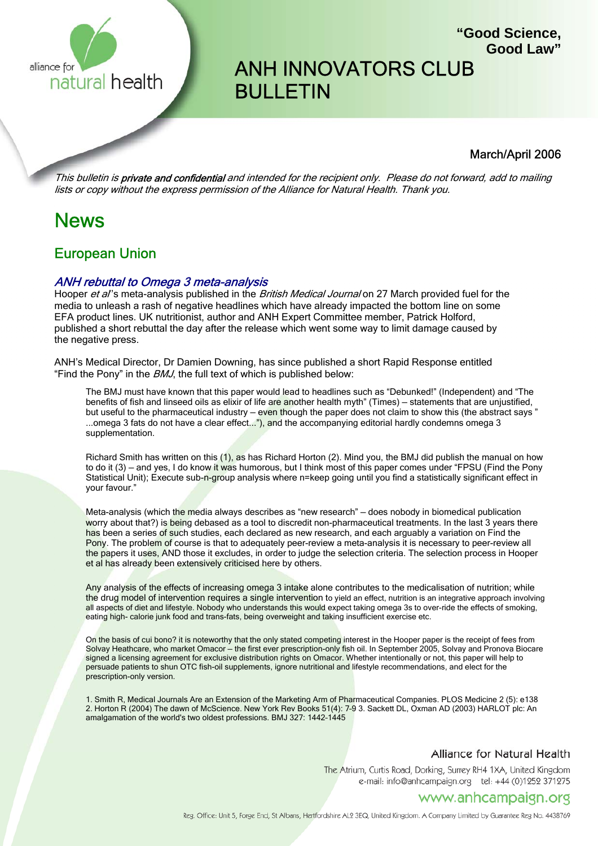

# ANH INNOVATORS CLUB BULLETIN

### March/April 2006

**"Good Science,**

**Good Law"**

This bulletin is **private and confidential** and intended for the recipient only. Please do not forward, add to mailing lists or copy without the express permission of the Alliance for Natural Health. Thank you.

## News

### European Union

### ANH rebuttal to Omega 3 meta-analysis

Hooper et al's meta-analysis published in the British Medical Journal on 27 March provided fuel for the media to unleash a rash of negative headlines which have already impacted the bottom line on some EFA product lines. UK nutritionist, author and ANH Expert Committee member, Patrick Holford, published a short rebuttal the day after the release which went some way to limit damage caused by the negative press.

ANH's Medical Director, Dr Damien Downing, has since published a short Rapid Response entitled "Find the Pony" in the *BMJ*, the full text of which is published below:

The BMJ must have known that this paper would lead to headlines such as "Debunked!" (Independent) and "The benefits of fish and linseed oils as elixir of life are another health myth" (Times) – statements that are unjustified, but useful to the pharmaceutical industry – even though the paper does not claim to show this (the abstract says " ...omega 3 fats do not have a clear effect..."), and the accompanying editorial hardly condemns omega 3 supplementation.

Richard Smith has written on this (1), as has Richard Horton (2). Mind you, the BMJ did publish the manual on how to do it (3) – and yes, I do know it was humorous, but I think most of this paper comes under "FPSU (Find the Pony Statistical Unit); Execute sub-n-group analysis where n=keep going until you find a statistically significant effect in your favour."

Meta-analysis (which the media always describes as "new research" - does nobody in biomedical publication worry about that?) is being debased as a tool to discredit non-pharmaceutical treatments. In the last 3 years there has been a series of such studies, each declared as new research, and each arguably a variation on Find the Pony. The problem of course is that to adequately peer-review a meta-analysis it is necessary to peer-review all the papers it uses, AND those it excludes, in order to judge the selection criteria. The selection process in Hooper et al has already been extensively criticised here by others.

Any analysis of the effects of increasing omega 3 intake alone contributes to the medicalisation of nutrition; while the drug model of intervention requires a single intervention to yield an effect, nutrition is an integrative approach involving all aspects of diet and lifestyle. Nobody who understands this would expect taking omega 3s to over-ride the effects of smoking, eating high- calorie junk food and trans-fats, being overweight and taking insufficient exercise etc.

On the basis of cui bono? it is noteworthy that the only stated competing interest in the Hooper paper is the receipt of fees from Solvay Heathcare, who market Omacor – the first ever prescription-only fish oil. In September 2005, Solvay and Pronova Biocare signed a licensing agreement for exclusive distribution rights on Omacor. Whether intentionally or not, this paper will help to persuade patients to shun OTC fish-oil supplements, ignore nutritional and lifestyle recommendations, and elect for the prescription-only version.

1. Smith R, Medical Journals Are an Extension of the Marketing Arm of Pharmaceutical Companies. PLOS Medicine 2 (5): e138 2. Horton R (2004) The dawn of McScience. New York Rev Books 51(4): 7–9 3. Sackett DL, Oxman AD (2003) HARLOT plc: An amalgamation of the world's two oldest professions. BMJ 327: 1442–1445

#### Alliance for Natural Health

The Atrium, Curtis Road, Dorking, Surrey RH4 1XA, United Kingdom e-mail: info@anhcampaign.org tel: +44 (0)1252 371275

### www.anhcampaign.org

Reg. Office: Unit 5, Forge End, St Albans, Hertfordshire AL2 3EQ, United Kingdom. A Company Limited by Guarantee Reg No. 4438769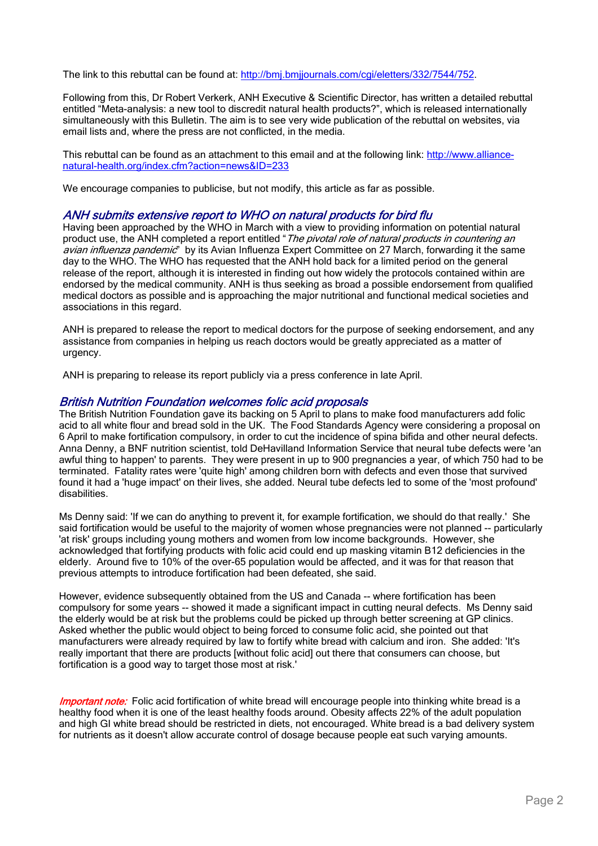The link to this rebuttal can be found at: http://bmj.bmjjournals.com/cgi/eletters/332/7544/752.

Following from this, Dr Robert Verkerk, ANH Executive & Scientific Director, has written a detailed rebuttal entitled "Meta-analysis: a new tool to discredit natural health products?", which is released internationally simultaneously with this Bulletin. The aim is to see very wide publication of the rebuttal on websites, via email lists and, where the press are not conflicted, in the media.

This rebuttal can be found as an attachment to this email and at the following link: http://www.alliancenatural-health.org/index.cfm?action=news&ID=233

We encourage companies to publicise, but not modify, this article as far as possible.

### ANH submits extensive report to WHO on natural products for bird flu

Having been approached by the WHO in March with a view to providing information on potential natural product use, the ANH completed a report entitled "The pivotal role of natural products in countering an avian influenza pandemic" by its Avian Influenza Expert Committee on 27 March, forwarding it the same day to the WHO. The WHO has requested that the ANH hold back for a limited period on the general release of the report, although it is interested in finding out how widely the protocols contained within are endorsed by the medical community. ANH is thus seeking as broad a possible endorsement from qualified medical doctors as possible and is approaching the major nutritional and functional medical societies and associations in this regard.

ANH is prepared to release the report to medical doctors for the purpose of seeking endorsement, and any assistance from companies in helping us reach doctors would be greatly appreciated as a matter of urgency.

ANH is preparing to release its report publicly via a press conference in late April.

#### British Nutrition Foundation welcomes folic acid proposals

The British Nutrition Foundation gave its backing on 5 April to plans to make food manufacturers add folic acid to all white flour and bread sold in the UK. The Food Standards Agency were considering a proposal on 6 April to make fortification compulsory, in order to cut the incidence of spina bifida and other neural defects. Anna Denny, a BNF nutrition scientist, told DeHavilland Information Service that neural tube defects were 'an awful thing to happen' to parents. They were present in up to 900 pregnancies a year, of which 750 had to be terminated. Fatality rates were 'quite high' among children born with defects and even those that survived found it had a 'huge impact' on their lives, she added. Neural tube defects led to some of the 'most profound' disabilities.

Ms Denny said: 'If we can do anything to prevent it, for example fortification, we should do that really.' She said fortification would be useful to the majority of women whose pregnancies were not planned -- particularly 'at risk' groups including young mothers and women from low income backgrounds. However, she acknowledged that fortifying products with folic acid could end up masking vitamin B12 deficiencies in the elderly. Around five to 10% of the over-65 population would be affected, and it was for that reason that previous attempts to introduce fortification had been defeated, she said.

However, evidence subsequently obtained from the US and Canada -- where fortification has been compulsory for some years -- showed it made a significant impact in cutting neural defects. Ms Denny said the elderly would be at risk but the problems could be picked up through better screening at GP clinics. Asked whether the public would object to being forced to consume folic acid, she pointed out that manufacturers were already required by law to fortify white bread with calcium and iron. She added: 'It's really important that there are products [without folic acid] out there that consumers can choose, but fortification is a good way to target those most at risk.'

Important note: Folic acid fortification of white bread will encourage people into thinking white bread is a healthy food when it is one of the least healthy foods around. Obesity affects 22% of the adult population and high GI white bread should be restricted in diets, not encouraged. White bread is a bad delivery system for nutrients as it doesn't allow accurate control of dosage because people eat such varying amounts.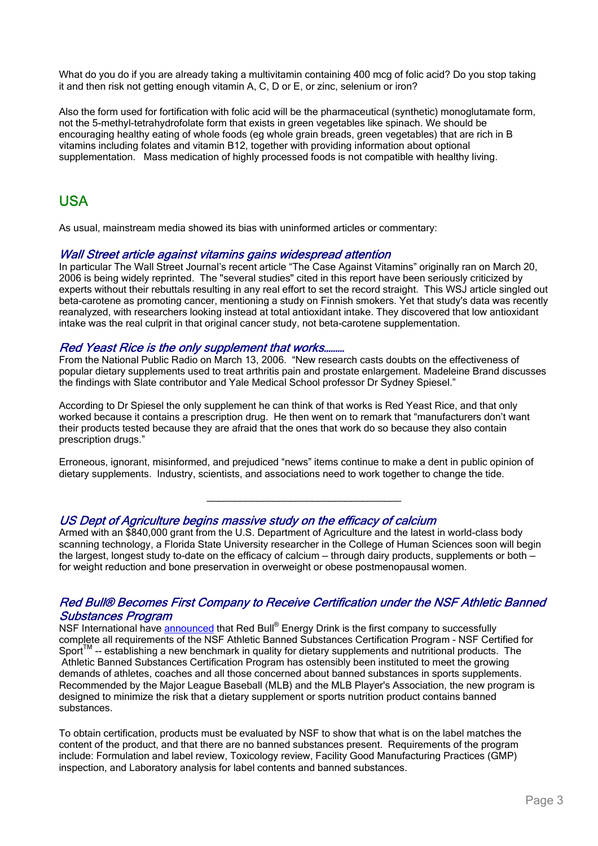What do you do if you are already taking a multivitamin containing 400 mcg of folic acid? Do you stop taking it and then risk not getting enough vitamin A, C, D or E, or zinc, selenium or iron?

Also the form used for fortification with folic acid will be the pharmaceutical (synthetic) monoglutamate form, not the 5-methyl-tetrahydrofolate form that exists in green vegetables like spinach. We should be encouraging healthy eating of whole foods (eg whole grain breads, green vegetables) that are rich in B vitamins including folates and vitamin B12, together with providing information about optional supplementation. Mass medication of highly processed foods is not compatible with healthy living.

### USA

As usual, mainstream media showed its bias with uninformed articles or commentary:

### Wall Street article against vitamins gains widespread attention

In particular The Wall Street Journal's recent article "The Case Against Vitamins" originally ran on March 20, 2006 is being widely reprinted. The "several studies" cited in this report have been seriously criticized by experts without their rebuttals resulting in any real effort to set the record straight. This WSJ article singled out beta-carotene as promoting cancer, mentioning a study on Finnish smokers. Yet that study's data was recently reanalyzed, with researchers looking instead at total antioxidant intake. They discovered that low antioxidant intake was the real culprit in that original cancer study, not beta-carotene supplementation.

### Red Yeast Rice is the only supplement that works...

From the National Public Radio on March 13, 2006. "New research casts doubts on the effectiveness of popular dietary supplements used to treat arthritis pain and prostate enlargement. Madeleine Brand discusses the findings with Slate contributor and Yale Medical School professor Dr Sydney Spiesel."

According to Dr Spiesel the only supplement he can think of that works is Red Yeast Rice, and that only worked because it contains a prescription drug. He then went on to remark that "manufacturers don't want their products tested because they are afraid that the ones that work do so because they also contain prescription drugs."

Erroneous, ignorant, misinformed, and prejudiced "news" items continue to make a dent in public opinion of dietary supplements. Industry, scientists, and associations need to work together to change the tide.

\_\_\_\_\_\_\_\_\_\_\_\_\_\_\_\_\_\_\_\_\_\_\_\_\_\_\_\_\_\_\_\_\_\_\_

### US Dept of Agriculture begins massive study on the efficacy of calcium

Armed with an \$840,000 grant from the U.S. Department of Agriculture and the latest in world-class body scanning technology, a Florida State University researcher in the College of Human Sciences soon will begin the largest, longest study to-date on the efficacy of calcium – through dairy products, supplements or both – for weight reduction and bone preservation in overweight or obese postmenopausal women.

### Red Bull® Becomes First Company to Receive Certification under the NSF Athletic Banned Substances Program

NSF International have announced that Red Bull® Energy Drink is the first company to successfully complete all requirements of the NSF Athletic Banned Substances Certification Program - NSF Certified for Sport $<sup>TM</sup>$  -- establishing a new benchmark in quality for dietary supplements and nutritional products. The</sup> Athletic Banned Substances Certification Program has ostensibly been instituted to meet the growing demands of athletes, coaches and all those concerned about banned substances in sports supplements. Recommended by the Major League Baseball (MLB) and the MLB Player's Association, the new program is designed to minimize the risk that a dietary supplement or sports nutrition product contains banned substances.

To obtain certification, products must be evaluated by NSF to show that what is on the label matches the content of the product, and that there are no banned substances present. Requirements of the program include: Formulation and label review, Toxicology review, Facility Good Manufacturing Practices (GMP) inspection, and Laboratory analysis for label contents and banned substances.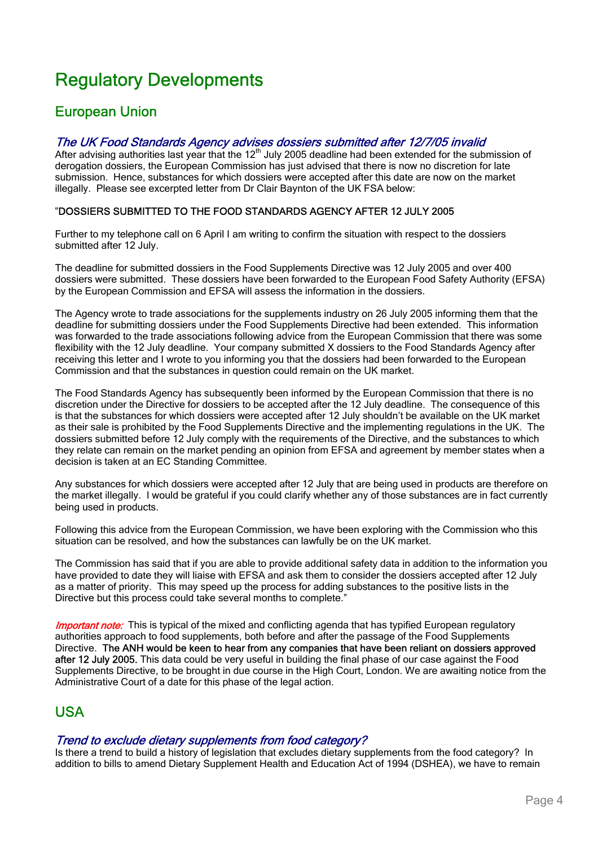# Regulatory Developments

### European Union

### The UK Food Standards Agency advises dossiers submitted after 12/7/05 invalid

After advising authorities last year that the 12<sup>th</sup> July 2005 deadline had been extended for the submission of derogation dossiers, the European Commission has just advised that there is now no discretion for late submission. Hence, substances for which dossiers were accepted after this date are now on the market illegally. Please see excerpted letter from Dr Clair Baynton of the UK FSA below:

### "DOSSIERS SUBMITTED TO THE FOOD STANDARDS AGENCY AFTER 12 JULY 2005

Further to my telephone call on 6 April I am writing to confirm the situation with respect to the dossiers submitted after 12 July.

The deadline for submitted dossiers in the Food Supplements Directive was 12 July 2005 and over 400 dossiers were submitted. These dossiers have been forwarded to the European Food Safety Authority (EFSA) by the European Commission and EFSA will assess the information in the dossiers.

The Agency wrote to trade associations for the supplements industry on 26 July 2005 informing them that the deadline for submitting dossiers under the Food Supplements Directive had been extended. This information was forwarded to the trade associations following advice from the European Commission that there was some flexibility with the 12 July deadline. Your company submitted X dossiers to the Food Standards Agency after receiving this letter and I wrote to you informing you that the dossiers had been forwarded to the European Commission and that the substances in question could remain on the UK market.

The Food Standards Agency has subsequently been informed by the European Commission that there is no discretion under the Directive for dossiers to be accepted after the 12 July deadline. The consequence of this is that the substances for which dossiers were accepted after 12 July shouldn't be available on the UK market as their sale is prohibited by the Food Supplements Directive and the implementing regulations in the UK. The dossiers submitted before 12 July comply with the requirements of the Directive, and the substances to which they relate can remain on the market pending an opinion from EFSA and agreement by member states when a decision is taken at an EC Standing Committee.

Any substances for which dossiers were accepted after 12 July that are being used in products are therefore on the market illegally. I would be grateful if you could clarify whether any of those substances are in fact currently being used in products.

Following this advice from the European Commission, we have been exploring with the Commission who this situation can be resolved, and how the substances can lawfully be on the UK market.

The Commission has said that if you are able to provide additional safety data in addition to the information you have provided to date they will liaise with EFSA and ask them to consider the dossiers accepted after 12 July as a matter of priority. This may speed up the process for adding substances to the positive lists in the Directive but this process could take several months to complete."

**Important note:** This is typical of the mixed and conflicting agenda that has typified European regulatory authorities approach to food supplements, both before and after the passage of the Food Supplements Directive. The ANH would be keen to hear from any companies that have been reliant on dossiers approved after 12 July 2005. This data could be very useful in building the final phase of our case against the Food Supplements Directive, to be brought in due course in the High Court, London. We are awaiting notice from the Administrative Court of a date for this phase of the legal action.

### USA

### Trend to exclude dietary supplements from food category?

Is there a trend to build a history of legislation that excludes dietary supplements from the food category? In addition to bills to amend Dietary Supplement Health and Education Act of 1994 (DSHEA), we have to remain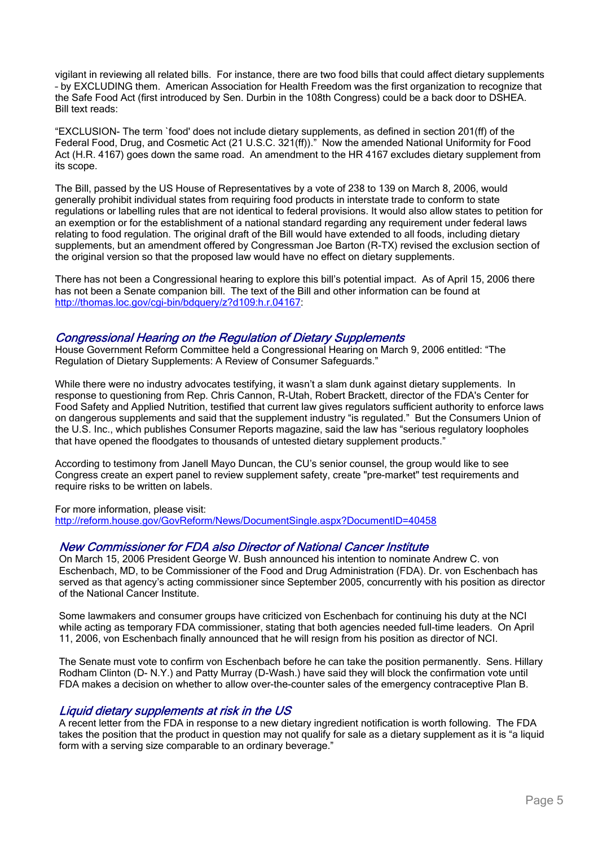vigilant in reviewing all related bills. For instance, there are two food bills that could affect dietary supplements – by EXCLUDING them. American Association for Health Freedom was the first organization to recognize that the Safe Food Act (first introduced by Sen. Durbin in the 108th Congress) could be a back door to DSHEA. Bill text reads:

"EXCLUSION- The term `food' does not include dietary supplements, as defined in section 201(ff) of the Federal Food, Drug, and Cosmetic Act (21 U.S.C. 321(ff))." Now the amended National Uniformity for Food Act (H.R. 4167) goes down the same road. An amendment to the HR 4167 excludes dietary supplement from its scope.

The Bill, passed by the US House of Representatives by a vote of 238 to 139 on March 8, 2006, would generally prohibit individual states from requiring food products in interstate trade to conform to state regulations or labelling rules that are not identical to federal provisions. It would also allow states to petition for an exemption or for the establishment of a national standard regarding any requirement under federal laws relating to food regulation. The original draft of the Bill would have extended to all foods, including dietary supplements, but an amendment offered by Congressman Joe Barton (R-TX) revised the exclusion section of the original version so that the proposed law would have no effect on dietary supplements.

There has not been a Congressional hearing to explore this bill's potential impact. As of April 15, 2006 there has not been a Senate companion bill. The text of the Bill and other information can be found at http://thomas.loc.gov/cgi-bin/bdquery/z?d109:h.r.04167:

### Congressional Hearing on the Regulation of Dietary Supplements

House Government Reform Committee held a Congressional Hearing on March 9, 2006 entitled: "The Regulation of Dietary Supplements: A Review of Consumer Safeguards."

While there were no industry advocates testifying, it wasn't a slam dunk against dietary supplements. In response to questioning from Rep. Chris Cannon, R-Utah, Robert Brackett, director of the FDA's Center for Food Safety and Applied Nutrition, testified that current law gives regulators sufficient authority to enforce laws on dangerous supplements and said that the supplement industry "is regulated." But the Consumers Union of the U.S. Inc., which publishes Consumer Reports magazine, said the law has "serious regulatory loopholes that have opened the floodgates to thousands of untested dietary supplement products."

According to testimony from Janell Mayo Duncan, the CU's senior counsel, the group would like to see Congress create an expert panel to review supplement safety, create "pre-market" test requirements and require risks to be written on labels.

For more information, please visit:

http://reform.house.gov/GovReform/News/DocumentSingle.aspx?DocumentID=40458

### New Commissioner for FDA also Director of National Cancer Institute

On March 15, 2006 President George W. Bush announced his intention to nominate Andrew C. von Eschenbach, MD, to be Commissioner of the Food and Drug Administration (FDA). Dr. von Eschenbach has served as that agency's acting commissioner since September 2005, concurrently with his position as director of the National Cancer Institute.

Some lawmakers and consumer groups have criticized von Eschenbach for continuing his duty at the NCI while acting as temporary FDA commissioner, stating that both agencies needed full-time leaders. On April 11, 2006, von Eschenbach finally announced that he will resign from his position as director of NCI.

The Senate must vote to confirm von Eschenbach before he can take the position permanently. Sens. Hillary Rodham Clinton (D- N.Y.) and Patty Murray (D-Wash.) have said they will block the confirmation vote until FDA makes a decision on whether to allow over-the-counter sales of the emergency contraceptive Plan B.

#### Liquid dietary supplements at risk in the US

A recent letter from the FDA in response to a new dietary ingredient notification is worth following. The FDA takes the position that the product in question may not qualify for sale as a dietary supplement as it is "a liquid form with a serving size comparable to an ordinary beverage."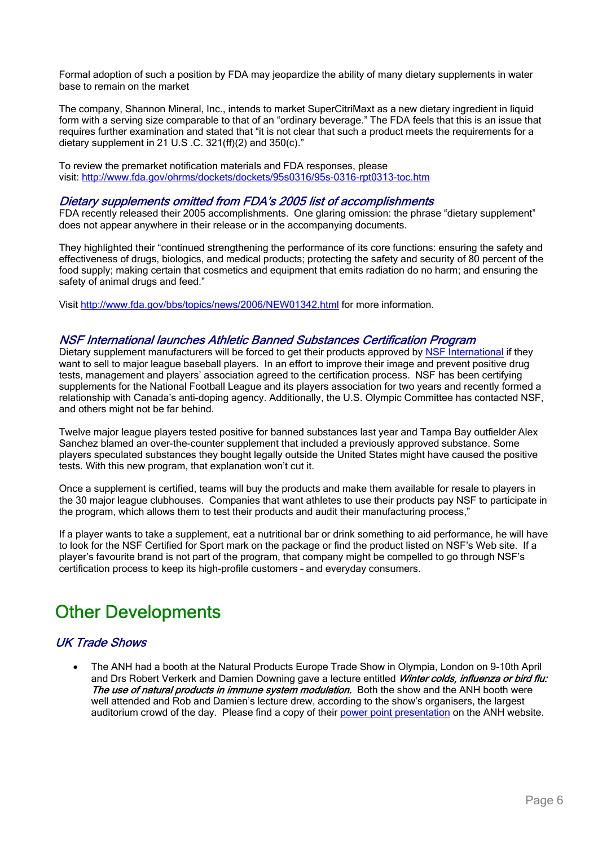Formal adoption of such a position by FDA may jeopardize the ability of many dietary supplements in water base to remain on the market

The company, Shannon Mineral, Inc., intends to market SuperCitriMaxt as a new dietary ingredient in liquid form with a serving size comparable to that of an "ordinary beverage." The FDA feels that this is an issue that requires further examination and stated that "it is not clear that such a product meets the requirements for a dietary supplement in 21 U.S .C. 321(ff)(2) and 350(c)."

To review the premarket notification materials and FDA responses, please visit: http://www.fda.gov/ohrms/dockets/dockets/95s0316/95s-0316-rpt0313-toc.htm

### Dietary supplements omitted from FDA's 2005 list of accomplishments

FDA recently released their 2005 accomplishments. One glaring omission: the phrase "dietary supplement" does not appear anywhere in their release or in the accompanying documents.

They highlighted their "continued strengthening the performance of its core functions: ensuring the safety and effectiveness of drugs, biologics, and medical products; protecting the safety and security of 80 percent of the food supply; making certain that cosmetics and equipment that emits radiation do no harm; and ensuring the safety of animal drugs and feed."

Visit http://www.fda.gov/bbs/topics/news/2006/NEW01342.html for more information.

#### NSF International launches Athletic Banned Substances Certification Program

Dietary supplement manufacturers will be forced to get their products approved by NSF International if they want to sell to major league baseball players. In an effort to improve their image and prevent positive drug tests, management and players' association agreed to the certification process. NSF has been certifying supplements for the National Football League and its players association for two years and recently formed a relationship with Canada's anti-doping agency. Additionally, the U.S. Olympic Committee has contacted NSF, and others might not be far behind.

Twelve major league players tested positive for banned substances last year and Tampa Bay outfielder Alex Sanchez blamed an over-the-counter supplement that included a previously approved substance. Some players speculated substances they bought legally outside the United States might have caused the positive tests. With this new program, that explanation won't cut it.

Once a supplement is certified, teams will buy the products and make them available for resale to players in the 30 major league clubhouses. Companies that want athletes to use their products pay NSF to participate in the program, which allows them to test their products and audit their manufacturing process,"

If a player wants to take a supplement, eat a nutritional bar or drink something to aid performance, he will have to look for the NSF Certified for Sport mark on the package or find the product listed on NSF's Web site. If a player's favourite brand is not part of the program, that company might be compelled to go through NSF's certification process to keep its high-profile customers – and everyday consumers.

# Other Developments

### UK Trade Shows

• The ANH had a booth at the Natural Products Europe Trade Show in Olympia, London on 9-10th April and Drs Robert Verkerk and Damien Downing gave a lecture entitled Winter colds, influenza or bird flu: The use of natural products in immune system modulation. Both the show and the ANH booth were well attended and Rob and Damien's lecture drew, according to the show's organisers, the largest auditorium crowd of the day. Please find a copy of their power point presentation on the ANH website.